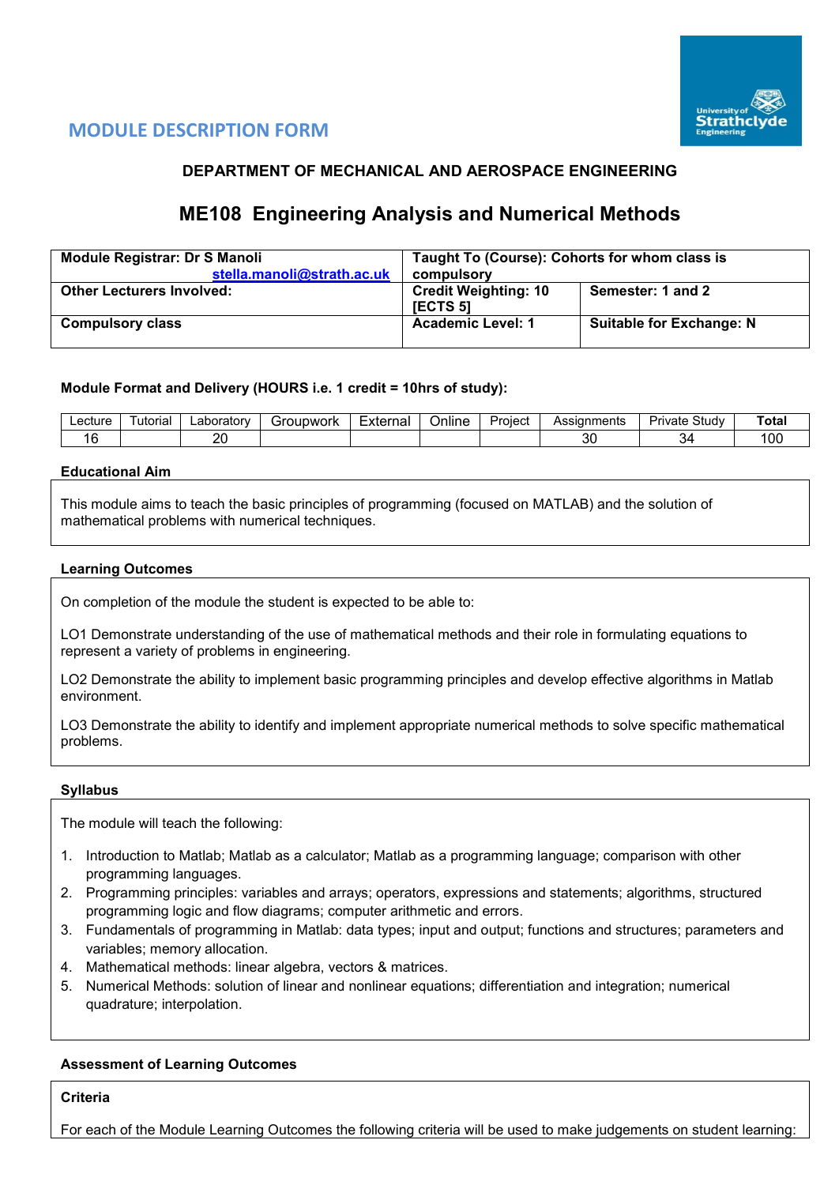

# **MODULE DESCRIPTION FORM**

# **DEPARTMENT OF MECHANICAL AND AEROSPACE ENGINEERING**

# **ME108 Engineering Analysis and Numerical Methods**

| <b>Module Registrar: Dr S Manoli</b> | Taught To (Course): Cohorts for whom class is  |                                 |  |  |  |  |
|--------------------------------------|------------------------------------------------|---------------------------------|--|--|--|--|
| stella.manoli@strath.ac.uk           | compulsory                                     |                                 |  |  |  |  |
| <b>Other Lecturers Involved:</b>     | <b>Credit Weighting: 10</b><br><b>IECTS 51</b> | Semester: 1 and 2               |  |  |  |  |
| <b>Compulsory class</b>              | <b>Academic Level: 1</b>                       | <b>Suitable for Exchange: N</b> |  |  |  |  |

## **Module Format and Delivery (HOURS i.e. 1 credit = 10hrs of study):**

| ∟ecture | utorial | ∟aboratorv | `roupwork | $\overline{\phantom{0}}$<br>External | <br><b>Jnline</b> | Project | <b>\ssianments</b><br>955IUI. | Study<br>Private | Total |
|---------|---------|------------|-----------|--------------------------------------|-------------------|---------|-------------------------------|------------------|-------|
|         |         |            |           |                                      |                   |         | $\sim$<br>v                   |                  | 00    |

#### **Educational Aim**

This module aims to teach the basic principles of programming (focused on MATLAB) and the solution of mathematical problems with numerical techniques.

#### **Learning Outcomes**

On completion of the module the student is expected to be able to:

LO1 Demonstrate understanding of the use of mathematical methods and their role in formulating equations to represent a variety of problems in engineering.

LO2 Demonstrate the ability to implement basic programming principles and develop effective algorithms in Matlab environment.

LO3 Demonstrate the ability to identify and implement appropriate numerical methods to solve specific mathematical problems.

#### **Syllabus**

The module will teach the following:

- 1. Introduction to Matlab; Matlab as a calculator; Matlab as a programming language; comparison with other programming languages.
- 2. Programming principles: variables and arrays; operators, expressions and statements; algorithms, structured programming logic and flow diagrams; computer arithmetic and errors.
- 3. Fundamentals of programming in Matlab: data types; input and output; functions and structures; parameters and variables; memory allocation.
- 4. Mathematical methods: linear algebra, vectors & matrices.
- 5. Numerical Methods: solution of linear and nonlinear equations; differentiation and integration; numerical quadrature; interpolation.

## **Assessment of Learning Outcomes**

**Criteria**

For each of the Module Learning Outcomes the following criteria will be used to make judgements on student learning: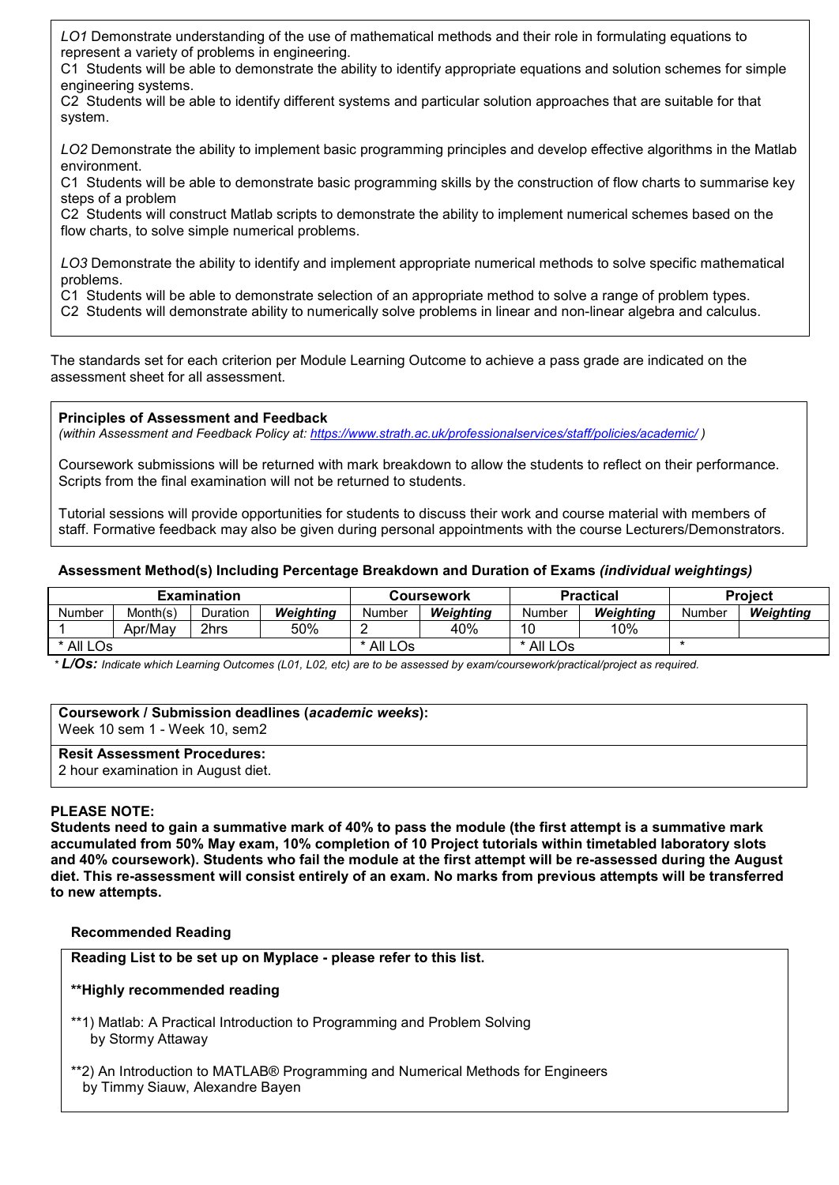*LO1* Demonstrate understanding of the use of mathematical methods and their role in formulating equations to represent a variety of problems in engineering.

C1 Students will be able to demonstrate the ability to identify appropriate equations and solution schemes for simple engineering systems.

C2 Students will be able to identify different systems and particular solution approaches that are suitable for that system.

*LO2* Demonstrate the ability to implement basic programming principles and develop effective algorithms in the Matlab environment.

C1 Students will be able to demonstrate basic programming skills by the construction of flow charts to summarise key steps of a problem

C2 Students will construct Matlab scripts to demonstrate the ability to implement numerical schemes based on the flow charts, to solve simple numerical problems.

*LO3* Demonstrate the ability to identify and implement appropriate numerical methods to solve specific mathematical problems.

C1 Students will be able to demonstrate selection of an appropriate method to solve a range of problem types.

C2 Students will demonstrate ability to numerically solve problems in linear and non-linear algebra and calculus.

The standards set for each criterion per Module Learning Outcome to achieve a pass grade are indicated on the assessment sheet for all assessment.

#### **Principles of Assessment and Feedback**

*(within Assessment and Feedback Policy at: <https://www.strath.ac.uk/professionalservices/staff/policies/academic/> )*

Coursework submissions will be returned with mark breakdown to allow the students to reflect on their performance. Scripts from the final examination will not be returned to students.

Tutorial sessions will provide opportunities for students to discuss their work and course material with members of staff. Formative feedback may also be given during personal appointments with the course Lecturers/Demonstrators.

### **Assessment Method(s) Including Percentage Breakdown and Duration of Exams** *(individual weightings)*

| <b>Examination</b> |          |          |           |           | Coursework |           | <b>Practical</b> | <b>Project</b> |           |  |
|--------------------|----------|----------|-----------|-----------|------------|-----------|------------------|----------------|-----------|--|
| Number             | Month(s) | Duration | Weiahtina | Number    | Weiahtina  | Number    | Weighting        | Number         | Weiahtina |  |
|                    | Apr/Mav  | 2hrs     | 50%       |           | 40%        | 10        | 10%              |                |           |  |
| * All LOs          |          |          |           | * All LOs |            | * All LOs |                  |                |           |  |

*\* L/Os: Indicate which Learning Outcomes (L01, L02, etc) are to be assessed by exam/coursework/practical/project as required.*

## **Coursework / Submission deadlines (***academic weeks***):**

Week 10 sem 1 - Week 10, sem2

#### **Resit Assessment Procedures:**

2 hour examination in August diet.

#### **PLEASE NOTE:**

**Students need to gain a summative mark of 40% to pass the module (the first attempt is a summative mark accumulated from 50% May exam, 10% completion of 10 Project tutorials within timetabled laboratory slots and 40% coursework). Students who fail the module at the first attempt will be re-assessed during the August diet. This re-assessment will consist entirely of an exam. No marks from previous attempts will be transferred to new attempts.**

#### **Recommended Reading**

**Reading List to be set up on Myplace - please refer to this list.**

#### **\*\*Highly recommended reading**

\*\*1) Matlab: A Practical Introduction to Programming and Problem Solving by Stormy Attaway

\*\*2) An Introduction to MATLAB® Programming and Numerical Methods for Engineers by Timmy Siauw, Alexandre Bayen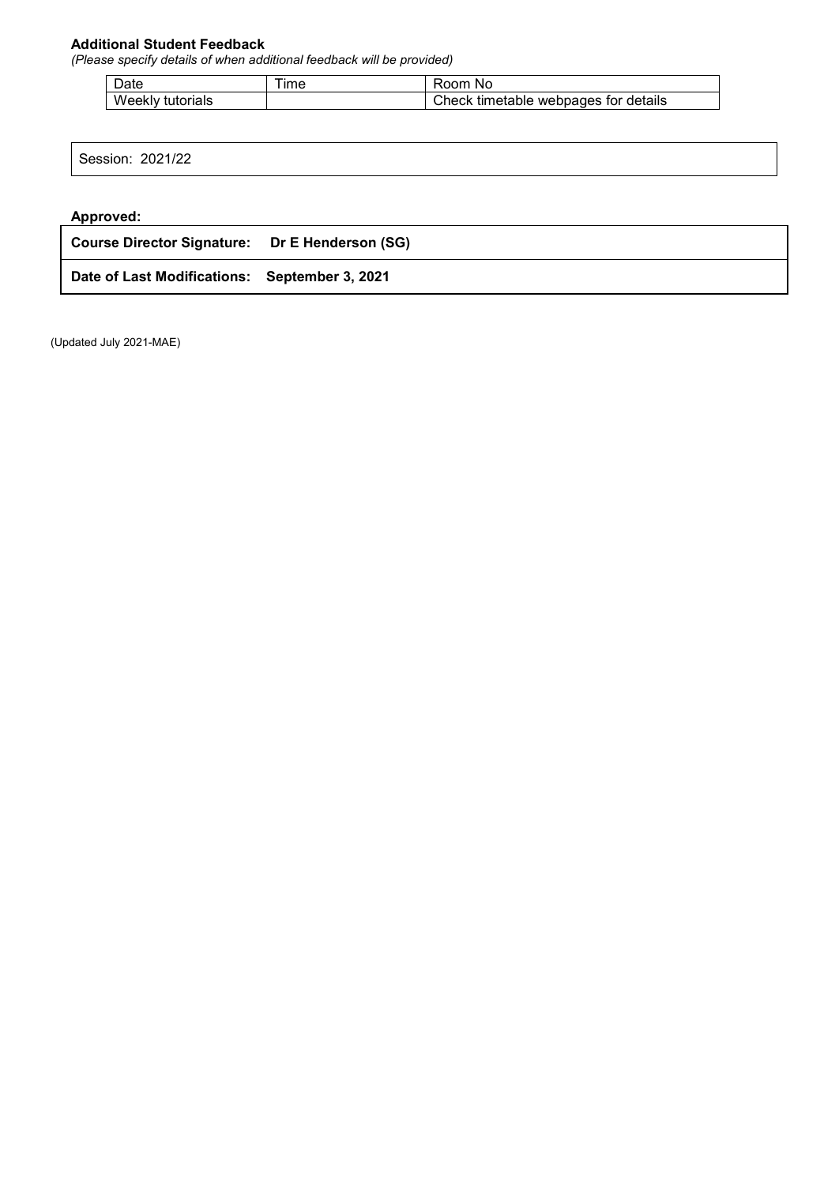## **Additional Student Feedback**

*(Please specify details of when additional feedback will be provided)*

| $\overline{\phantom{a}}$<br>Jate | ıme | .oom<br>No                                        |
|----------------------------------|-----|---------------------------------------------------|
| Weekly<br>tutorials              |     | Check<br>∶details<br>webpages<br>timetable<br>tor |

Session: 2021/22

## **Approved:**

| Course Director Signature: Dr E Henderson (SG) |  |
|------------------------------------------------|--|
| Date of Last Modifications: September 3, 2021  |  |

(Updated July 2021-MAE)